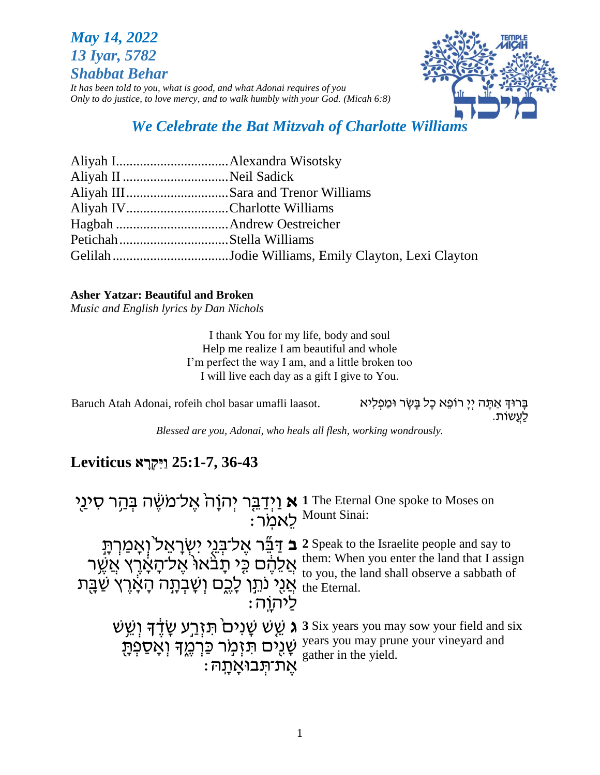# *May 14, 2022 13 Iyar, 5782 Shabbat Behar*

*It has been told to you, what is good, and what Adonai requires of you Only to do justice, to love mercy, and to walk humbly with your God. (Micah 6:8)*

# *We Celebrate the Bat Mitzvah of Charlotte Williams*

| Aliyah IVCharlotte Williams |
|-----------------------------|
|                             |
|                             |
|                             |
|                             |

#### **Asher Yatzar: Beautiful and Broken**

*Music and English lyrics by Dan Nichols*

I thank You for my life, body and soul Help me realize I am beautiful and whole I'm perfect the way I am, and a little broken too I will live each day as a gift I give to You.

Eרּוּךְ אַתָּה יִיָּ רוֹפֵא כָל בָּשָׂר וּמַפִלִיא ... Baruch Atah Adonai, rofeih chol basar umafli laasot לַעֲשֹות.

*Blessed are you, Adonai, who heals all flesh, working wondrously.*

# **36-43 25:1-7, ַוִּי ְקָרא Leviticus**

א וַיְדַבֵּר יְהוָה<sup>ָ</sup> אֶל־מֹשֶׂה בְּהַר סִינַי ֿיָאמֹר **1** The Eternal One spoke to Moses on Mount Sinai: **ּּ** בַּ דֵּבֵּׁר אֶל־בְּגֵי יִשְׂרָאֵל<sup>י</sup>וְאָמַרְתָּ אֲלֵהֶם כֵּי תָּבֹּאוּ אֶל־הָאָרֶץ אֲשֶר " ן אֲנָי נֹתֵן לָכֶם וְשָׁבְתָה הָאָוֶדָ שַׁבָּת נ לַיהֹוָּ ֹֽה׃ **2** Speak to the Israelite people and say to them: When you enter the land that I assign to you, the land shall observe a sabbath of the Eternal. **ג** שֵׁשׁ שָׁנִים<sup>ֹ</sup> תִּזְרֵע שָׂדֶדּ וְשֵׁשׁ ַ שָׁנֻים תִּזְמָר כַּרְמֶדּ וְאָסַפְתָּ  $\frac{y}{\alpha}$ אֶת־תְּבוּאֲתָה $\,$  \*  $\,$ **3** Six years you may sow your field and six years you may prune your vineyard and gather in the yield.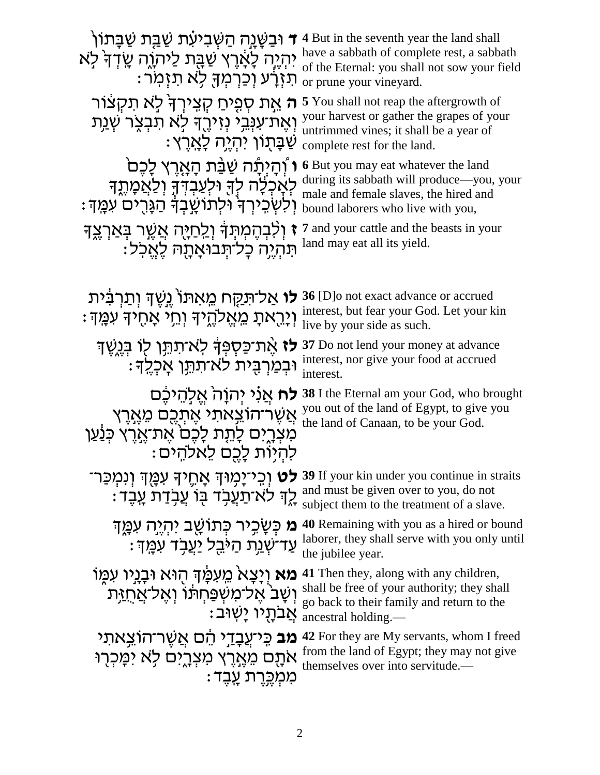| ד וּבַשֲׁנֵה הַשְּׁבִיעָת שַׁבֵּת שַׁבַּתוֹן <b>ד</b><br>יִהְיֶה לָאָרֶץ שַׁבָּת לַיתֹוֶה שָׂדְדָּ לִא<br>ּתַזְרָע וְכַרְמִךָּ לְא תזִמְר:            | <b>4</b> But in the seventh year the land shall<br>have a sabbath of complete rest, a sabbath<br>of the Eternal: you shall not sow your field<br>or prune your vineyard. |
|-------------------------------------------------------------------------------------------------------------------------------------------------------|--------------------------------------------------------------------------------------------------------------------------------------------------------------------------|
| <b>ה</b> אֶת סְפִיחַ קְצִירְךָּ לְא תִקִצּוֹר<br>וְאֶת־עִנְבֵי נְזִירֶךְ לָא תִבְצֶר שְ <u>ׁנ</u> ְת<br>ֹשַׁבָּתְוֹן יִהְיֶה לָאֲרֵץ:                 | <b>5</b> You shall not reap the aftergrowth of<br>your harvest or gather the grapes of your<br>untrimmed vines; it shall be a year of<br>complete rest for the land.     |
| ו וְהַיִּתַּׁה שַׁבֵּׁת הַאֲרֵץ לָכֶם<br>לְאָכְלָה לְךָ וּלְעַבְדְךָ וְלַאֲמָתֶךְ<br>וִלְשְׁכֵירְךְ וּלְתוֹשֳבִדְ הַגָּרִים עִמֵּךְ:                  | <b>6</b> But you may eat whatever the land<br>during its sabbath will produce-you, your<br>male and female slaves, the hired and<br>bound laborers who live with you,    |
| ז וְלִבְהֶמְתְּךָ וְלַחַיֶּה אֲשֶׁר בְּאַרְצֵךָ<br>תִּהְיֶה כָל־תְּבוּאָתָה לֵאֵכְל                                                                   | 7 and your cattle and the beasts in your<br>land may eat all its yield.                                                                                                  |
| <b>לו</b> אַל־תַּקֶּח מֵאִתּוֹ יֱשֶׁדְּ וְתַרְבִּית<br>וְיָרֵאתָ מֵאֱלֹהֶיךָ וְחֵי אָחֶיךָ עִמֲךָ:                                                    | 36 [D]o not exact advance or accrued<br>interest, but fear your God. Let your kin<br>live by your side as such.                                                          |
| לז אֶת־כַּסְפְּךָ לְא־תַתֵּן לְוֹ בְּגֶשֶׁךָ<br>וּבִמַרְבִּית לא־תִתֵּן אָכְלֶךָ:                                                                     | 37 Do not lend your money at advance<br>interest, nor give your food at accrued<br>interest.                                                                             |
| <b>לח</b> אֲנֹי יִהוָהֹ אֱלְהֵיכֵּם<br>אֲשֶׁר־הוֹצֵאתִי אֶתְ <u>ּכֶ</u> ם מֵאֱרֶץ<br>מִצְרֵיִם לָתֵת לַכֶּם אֵת־אֱרֶץ כִּנַּׁעַן<br>להיות לכם לאלהים: | 38 I the Eternal am your God, who brought<br>you out of the land of Egypt, to give you<br>the land of Canaan, to be your God.                                            |
| <b>לט</b> וְכִי־יָמְוּדְ אָחֶיךָ עִמֲךְ וְנִמְכַּר־<br>ַלֶךְ לֹא־תַעֲבָד בָּוֹ עֲבָדַת עַבֵד:                                                         | 39 If your kin under you continue in straits<br>and must be given over to you, do not<br>subject them to the treatment of a slave.                                       |
| <b>ּמ</b> כְּשַׂכִיר כְּתוֹשֵׁב יִהְיֵה עִמֲד<br>ּעַד־שָׁנַת הַיּּבֵל יַעַבְד עִמֵּךְ:                                                                | 40 Remaining with you as a hired or bound<br>laborer, they shall serve with you only until<br>the jubilee year.                                                          |
| <b>מא</b> וְיָצָא מֵעִמַּֽדְּ הְוּא וּבָנֵיו עִמְוֹ<br>וִשָּׁב <sup>י</sup> אֵל־מִשִּׁפַּחִתּוֹ וְאֵל־א <u>ַחְז</u> ִּת<br>ּאֲבתָיו יַשׁוּב:          | <b>41</b> Then they, along with any children,<br>shall be free of your authority; they shall<br>go back to their family and return to the<br>ancestral holding.-         |
| <b>מב</b> כִּיעֲבָדֵי הֵם אֲשֶׁר־הוֹצֵאתי<br>אתָם מֵאֶרֶץ מִצְרֶים לָא יִמְּכְרָוּ<br>ּמִמְכֵּרֶת עֲבֵד                                               | 42 For they are My servants, whom I freed<br>from the land of Egypt; they may not give<br>themselves over into servitude.—                                               |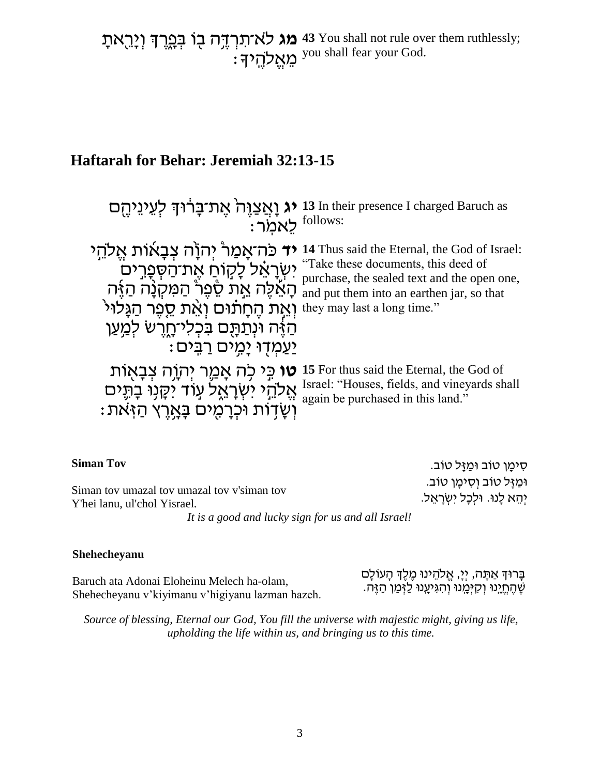**מג** לא־תִרְדֶּה בֻו בְּפֵרֶךְ וְיָרֵאתָ  $\colon$ לְהֶי $\mathbb{R}^{\mathcal{V}^{\mathcal{V}}}$ **43** You shall not rule over them ruthlessly; you shall fear your God.

# **Haftarah for Behar: Jeremiah 32:13-15**

| : <sup>follows:</sup>                                            | ו נו גַעֲנָהָה 13 In their presence I charged Baruch as יג וְאֲצַוֶּה אֶת־בָּרוּךְ לְעֵינֵיהֶם                                                                                                                                                 |
|------------------------------------------------------------------|------------------------------------------------------------------------------------------------------------------------------------------------------------------------------------------------------------------------------------------------|
| יְאֶת קֵחָתוּם they may last a long time." וְאֵת קֵפֶר הַגָּלוּי | יר פּה־אָמַר יּהוֹה צִבְאוֹת אֱלֹהֵי 14 Thus said the Eternal, the God of Israel:                                                                                                                                                              |
| הַזֶּה וּנְתַתָּם בִּכְלִיהָרֵשׁ לְמֵעַן                         | "Take these documents, this deed of                                                                                                                                                                                                            |
| <u>יַעֲמְדָוּ יָמְים רַבְּים:</u>                                | <sup>rake these documents, this deed of ישְׁרָאֵל לָקוֹחַ אֶת־הַסְפְרִים<br/>אֱלֶה אֲתָל מֲשִׁרָה הַאָּה nurchase, the sealed text and the open one,<br/>הְאֵלֶה אֲתָל אֱת שָׁפָר ֻּ הַמִּקְנָּה הַאָּה and put them into an earthen jar</sup> |
| <b>טו</b> כֵּי כִה אָמֵר יְהֹוֶה צְבָאֻוֹת                       | 15 For thus said the Eternal, the God of                                                                                                                                                                                                       |
| אֱלֹהֵי יִשְׂרָאֱל עָוֹד יִקָנְוּ בָתֵּים                        | Israel: "Houses, fields, and vineyards shall                                                                                                                                                                                                   |
| וְשָׂדְוֹת וּכִרְמִים בַּאֲרֵץ הַזִּאת:                          | again be purchased in this land."                                                                                                                                                                                                              |

| <b>Siman Tov</b>                                                                                                                                                                                                                                                                                                                   | ּסִימַן טוֹב וּמַזַּל טוֹב.                                        |
|------------------------------------------------------------------------------------------------------------------------------------------------------------------------------------------------------------------------------------------------------------------------------------------------------------------------------------|--------------------------------------------------------------------|
| Siman toy umazal toy umazal toy v'siman toy<br>Y'hei lanu, ul'chol Yisrael.                                                                                                                                                                                                                                                        | ּוּמַזַּל טוֹב וְסִיטָן טוֹב.<br>יִהֵא לָנוּ. וּלִכָּל יִשְׂרָאֵל. |
| $\mathbf{1}$ $\mathbf{1}$ $\mathbf{1}$ $\mathbf{1}$ $\mathbf{1}$ $\mathbf{1}$ $\mathbf{1}$ $\mathbf{1}$ $\mathbf{1}$ $\mathbf{1}$ $\mathbf{1}$ $\mathbf{1}$ $\mathbf{1}$ $\mathbf{1}$ $\mathbf{1}$ $\mathbf{1}$ $\mathbf{1}$ $\mathbf{1}$ $\mathbf{1}$ $\mathbf{1}$ $\mathbf{1}$ $\mathbf{1}$ $\mathbf{1}$ $\mathbf{1}$ $\mathbf{$ |                                                                    |

*It is a good and lucky sign for us and all Israel!*

#### **Shehecheyanu**

Baruch ata Adonai Eloheinu Melech ha-olam, Shehecheyanu v'kiyimanu v'higiyanu lazman hazeh. ּבָּרוּךְ אַתָּה, יְיָ, אֱלֹהֵינוּ מֶלֶךְ הָעוֹלָם ֶש ֶהֱחָֹּֽינּו ְו ִקְיָֹּֽמנּו ְו ִהִגיָֹּֽענּו ַל ְז ַמן ַהֶזה.

*Source of blessing, Eternal our God, You fill the universe with majestic might, giving us life, upholding the life within us, and bringing us to this time.*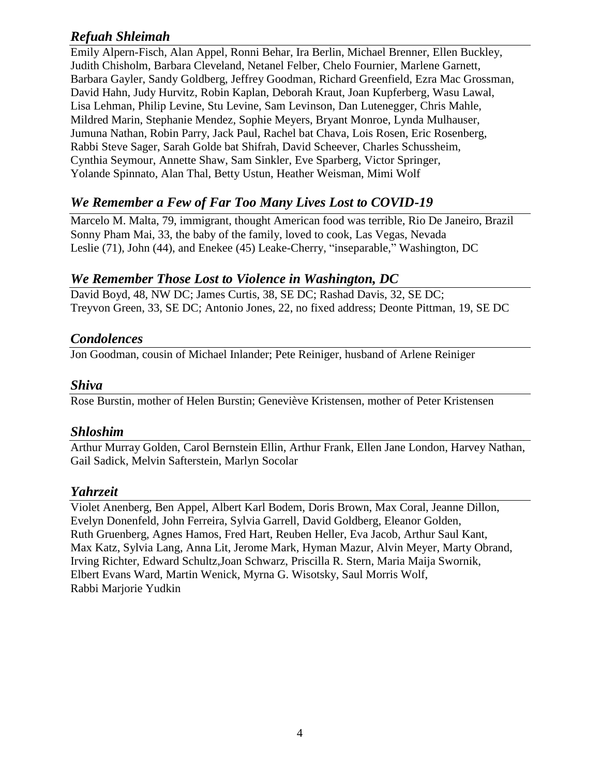## *Refuah Shleimah*

Emily Alpern-Fisch, Alan Appel, Ronni Behar, Ira Berlin, Michael Brenner, Ellen Buckley, Judith Chisholm, Barbara Cleveland, Netanel Felber, Chelo Fournier, Marlene Garnett, Barbara Gayler, Sandy Goldberg, Jeffrey Goodman, Richard Greenfield, Ezra Mac Grossman, David Hahn, Judy Hurvitz, Robin Kaplan, Deborah Kraut, Joan Kupferberg, Wasu Lawal, Lisa Lehman, Philip Levine, Stu Levine, Sam Levinson, Dan Lutenegger, Chris Mahle, Mildred Marin, Stephanie Mendez, Sophie Meyers, Bryant Monroe, Lynda Mulhauser, Jumuna Nathan, Robin Parry, Jack Paul, Rachel bat Chava, Lois Rosen, Eric Rosenberg, Rabbi Steve Sager, Sarah Golde bat Shifrah, David Scheever, Charles Schussheim, Cynthia Seymour, Annette Shaw, Sam Sinkler, Eve Sparberg, Victor Springer, Yolande Spinnato, Alan Thal, Betty Ustun, Heather Weisman, Mimi Wolf

## *We Remember a Few of Far Too Many Lives Lost to COVID-19*

Marcelo M. Malta, 79, immigrant, thought American food was terrible, Rio De Janeiro, Brazil Sonny Pham Mai, 33, the baby of the family, loved to cook, Las Vegas, Nevada Leslie (71), John (44), and Enekee (45) Leake-Cherry, "inseparable," Washington, DC

## *We Remember Those Lost to Violence in Washington, DC*

David Boyd, 48, NW DC; James Curtis, 38, SE DC; Rashad Davis, 32, SE DC; Treyvon Green, 33, SE DC; Antonio Jones, 22, no fixed address; Deonte Pittman, 19, SE DC

### *Condolences*

Jon Goodman, cousin of Michael Inlander; Pete Reiniger, husband of Arlene Reiniger

### *Shiva*

Rose Burstin, mother of Helen Burstin; Geneviève Kristensen, mother of Peter Kristensen

### *Shloshim*

Arthur Murray Golden, Carol Bernstein Ellin, Arthur Frank, Ellen Jane London, Harvey Nathan, Gail Sadick, Melvin Safterstein, Marlyn Socolar

## *Yahrzeit*

Violet Anenberg, Ben Appel, Albert Karl Bodem, Doris Brown, Max Coral, Jeanne Dillon, Evelyn Donenfeld, John Ferreira, Sylvia Garrell, David Goldberg, Eleanor Golden, Ruth Gruenberg, Agnes Hamos, Fred Hart, Reuben Heller, Eva Jacob, Arthur Saul Kant, Max Katz, Sylvia Lang, Anna Lit, Jerome Mark, Hyman Mazur, Alvin Meyer, Marty Obrand, Irving Richter, Edward Schultz,Joan Schwarz, Priscilla R. Stern, Maria Maija Swornik, Elbert Evans Ward, Martin Wenick, Myrna G. Wisotsky, Saul Morris Wolf, Rabbi Marjorie Yudkin